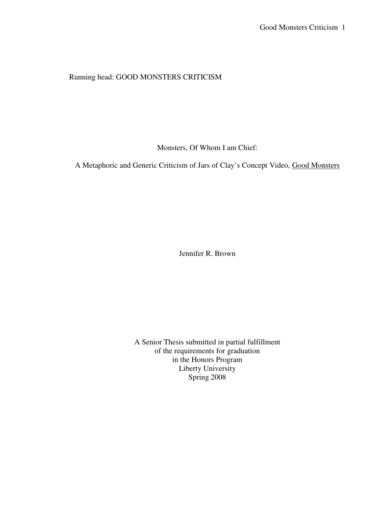Running head: GOOD MONSTERS CRITICISM

Monsters, Of Whom I am Chief:

A Metaphoric and Generic Criticism of Jars of Clay's Concept Video, Good Monsters

Jennifer R. Brown

A Senior Thesis submitted in partial fulfillment of the requirements for graduation in the Honors Program Liberty University Spring 2008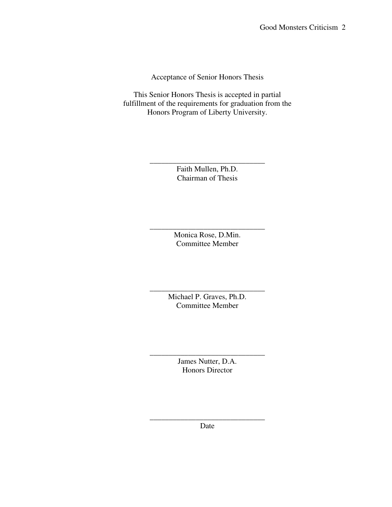Acceptance of Senior Honors Thesis

This Senior Honors Thesis is accepted in partial fulfillment of the requirements for graduation from the Honors Program of Liberty University.

> \_\_\_\_\_\_\_\_\_\_\_\_\_\_\_\_\_\_\_\_\_\_\_\_\_\_\_\_\_\_ Faith Mullen, Ph.D. Chairman of Thesis

> \_\_\_\_\_\_\_\_\_\_\_\_\_\_\_\_\_\_\_\_\_\_\_\_\_\_\_\_\_\_ Monica Rose, D.Min. Committee Member

> > Michael P. Graves, Ph.D. Committee Member

\_\_\_\_\_\_\_\_\_\_\_\_\_\_\_\_\_\_\_\_\_\_\_\_\_\_\_\_\_\_

James Nutter, D.A. Honors Director

\_\_\_\_\_\_\_\_\_\_\_\_\_\_\_\_\_\_\_\_\_\_\_\_\_\_\_\_\_\_

\_\_\_\_\_\_\_\_\_\_\_\_\_\_\_\_\_\_\_\_\_\_\_\_\_\_\_\_\_\_ Date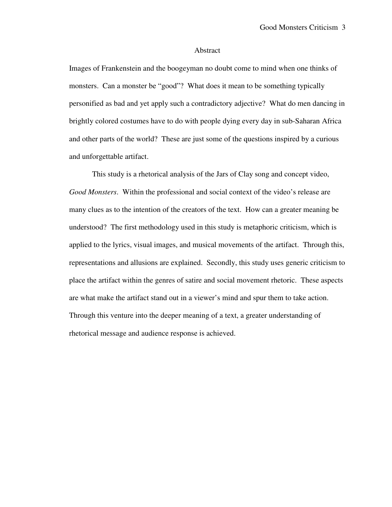#### Abstract

Images of Frankenstein and the boogeyman no doubt come to mind when one thinks of monsters. Can a monster be "good"? What does it mean to be something typically personified as bad and yet apply such a contradictory adjective? What do men dancing in brightly colored costumes have to do with people dying every day in sub-Saharan Africa and other parts of the world? These are just some of the questions inspired by a curious and unforgettable artifact.

This study is a rhetorical analysis of the Jars of Clay song and concept video, *Good Monsters*. Within the professional and social context of the video's release are many clues as to the intention of the creators of the text. How can a greater meaning be understood? The first methodology used in this study is metaphoric criticism, which is applied to the lyrics, visual images, and musical movements of the artifact. Through this, representations and allusions are explained. Secondly, this study uses generic criticism to place the artifact within the genres of satire and social movement rhetoric. These aspects are what make the artifact stand out in a viewer's mind and spur them to take action. Through this venture into the deeper meaning of a text, a greater understanding of rhetorical message and audience response is achieved.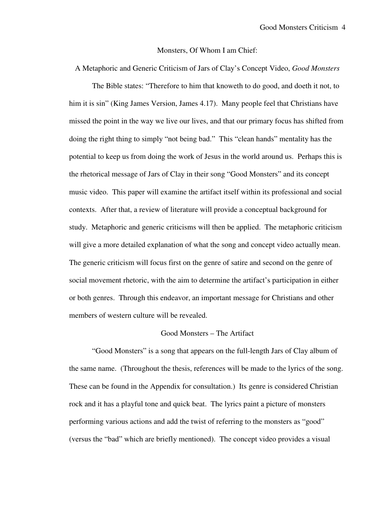### Monsters, Of Whom I am Chief:

A Metaphoric and Generic Criticism of Jars of Clay's Concept Video, *Good Monsters*

The Bible states: "Therefore to him that knoweth to do good, and doeth it not, to him it is sin" (King James Version, James 4.17). Many people feel that Christians have missed the point in the way we live our lives, and that our primary focus has shifted from doing the right thing to simply "not being bad." This "clean hands" mentality has the potential to keep us from doing the work of Jesus in the world around us. Perhaps this is the rhetorical message of Jars of Clay in their song "Good Monsters" and its concept music video. This paper will examine the artifact itself within its professional and social contexts. After that, a review of literature will provide a conceptual background for study. Metaphoric and generic criticisms will then be applied. The metaphoric criticism will give a more detailed explanation of what the song and concept video actually mean. The generic criticism will focus first on the genre of satire and second on the genre of social movement rhetoric, with the aim to determine the artifact's participation in either or both genres. Through this endeavor, an important message for Christians and other members of western culture will be revealed.

#### Good Monsters – The Artifact

 "Good Monsters" is a song that appears on the full-length Jars of Clay album of the same name. (Throughout the thesis, references will be made to the lyrics of the song. These can be found in the Appendix for consultation.) Its genre is considered Christian rock and it has a playful tone and quick beat. The lyrics paint a picture of monsters performing various actions and add the twist of referring to the monsters as "good" (versus the "bad" which are briefly mentioned). The concept video provides a visual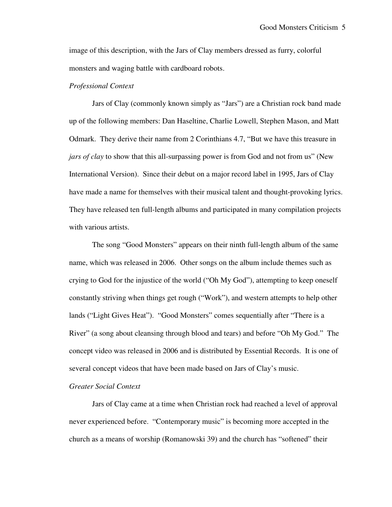image of this description, with the Jars of Clay members dressed as furry, colorful monsters and waging battle with cardboard robots.

### *Professional Context*

Jars of Clay (commonly known simply as "Jars") are a Christian rock band made up of the following members: Dan Haseltine, Charlie Lowell, Stephen Mason, and Matt Odmark. They derive their name from 2 Corinthians 4.7, "But we have this treasure in *jars of clay* to show that this all-surpassing power is from God and not from us" (New International Version). Since their debut on a major record label in 1995, Jars of Clay have made a name for themselves with their musical talent and thought-provoking lyrics. They have released ten full-length albums and participated in many compilation projects with various artists.

The song "Good Monsters" appears on their ninth full-length album of the same name, which was released in 2006. Other songs on the album include themes such as crying to God for the injustice of the world ("Oh My God"), attempting to keep oneself constantly striving when things get rough ("Work"), and western attempts to help other lands ("Light Gives Heat"). "Good Monsters" comes sequentially after "There is a River" (a song about cleansing through blood and tears) and before "Oh My God." The concept video was released in 2006 and is distributed by Essential Records. It is one of several concept videos that have been made based on Jars of Clay's music.

## *Greater Social Context*

Jars of Clay came at a time when Christian rock had reached a level of approval never experienced before. "Contemporary music" is becoming more accepted in the church as a means of worship (Romanowski 39) and the church has "softened" their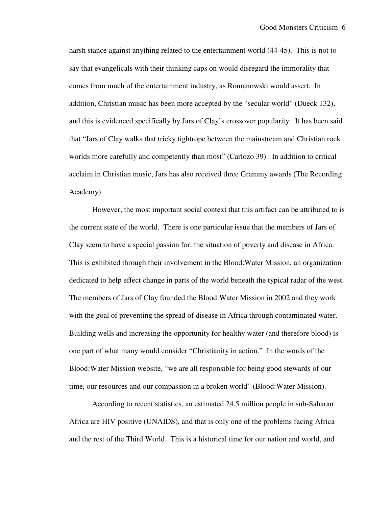harsh stance against anything related to the entertainment world (44-45). This is not to say that evangelicals with their thinking caps on would disregard the immorality that comes from much of the entertainment industry, as Romanowski would assert. In addition, Christian music has been more accepted by the "secular world" (Dueck 132), and this is evidenced specifically by Jars of Clay's crossover popularity. It has been said that "Jars of Clay walks that tricky tightrope between the mainstream and Christian rock worlds more carefully and competently than most" (Carlozo 39). In addition to critical acclaim in Christian music, Jars has also received three Grammy awards (The Recording Academy).

However, the most important social context that this artifact can be attributed to is the current state of the world. There is one particular issue that the members of Jars of Clay seem to have a special passion for: the situation of poverty and disease in Africa. This is exhibited through their involvement in the Blood:Water Mission, an organization dedicated to help effect change in parts of the world beneath the typical radar of the west. The members of Jars of Clay founded the Blood:Water Mission in 2002 and they work with the goal of preventing the spread of disease in Africa through contaminated water. Building wells and increasing the opportunity for healthy water (and therefore blood) is one part of what many would consider "Christianity in action." In the words of the Blood:Water Mission website, "we are all responsible for being good stewards of our time, our resources and our compassion in a broken world" (Blood:Water Mission).

According to recent statistics, an estimated 24.5 million people in sub-Saharan Africa are HIV positive (UNAIDS), and that is only one of the problems facing Africa and the rest of the Third World. This is a historical time for our nation and world, and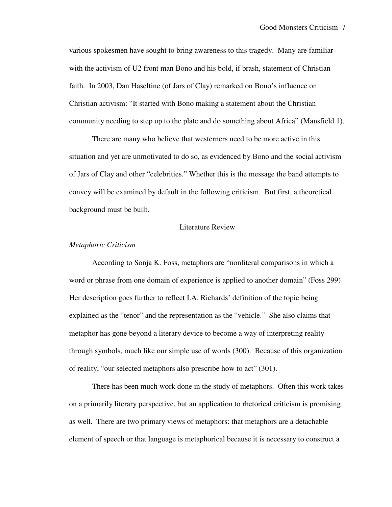various spokesmen have sought to bring awareness to this tragedy. Many are familiar with the activism of U2 front man Bono and his bold, if brash, statement of Christian faith. In 2003, Dan Haseltine (of Jars of Clay) remarked on Bono's influence on Christian activism: "It started with Bono making a statement about the Christian community needing to step up to the plate and do something about Africa" (Mansfield 1).

There are many who believe that westerners need to be more active in this situation and yet are unmotivated to do so, as evidenced by Bono and the social activism of Jars of Clay and other "celebrities." Whether this is the message the band attempts to convey will be examined by default in the following criticism. But first, a theoretical background must be built.

### Literature Review

### *Metaphoric Criticism*

According to Sonja K. Foss, metaphors are "nonliteral comparisons in which a word or phrase from one domain of experience is applied to another domain" (Foss 299) Her description goes further to reflect I.A. Richards' definition of the topic being explained as the "tenor" and the representation as the "vehicle." She also claims that metaphor has gone beyond a literary device to become a way of interpreting reality through symbols, much like our simple use of words (300). Because of this organization of reality, "our selected metaphors also prescribe how to act" (301).

 There has been much work done in the study of metaphors. Often this work takes on a primarily literary perspective, but an application to rhetorical criticism is promising as well. There are two primary views of metaphors: that metaphors are a detachable element of speech or that language is metaphorical because it is necessary to construct a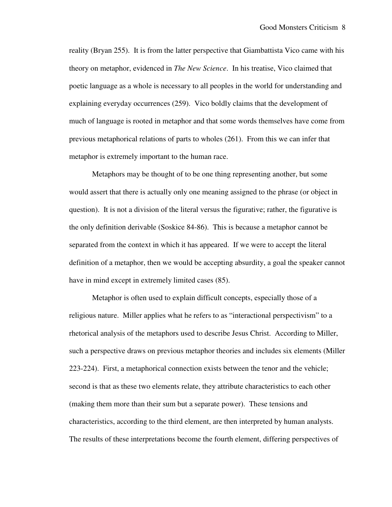reality (Bryan 255). It is from the latter perspective that Giambattista Vico came with his theory on metaphor, evidenced in *The New Science*. In his treatise, Vico claimed that poetic language as a whole is necessary to all peoples in the world for understanding and explaining everyday occurrences (259). Vico boldly claims that the development of much of language is rooted in metaphor and that some words themselves have come from previous metaphorical relations of parts to wholes (261). From this we can infer that metaphor is extremely important to the human race.

 Metaphors may be thought of to be one thing representing another, but some would assert that there is actually only one meaning assigned to the phrase (or object in question). It is not a division of the literal versus the figurative; rather, the figurative is the only definition derivable (Soskice 84-86). This is because a metaphor cannot be separated from the context in which it has appeared. If we were to accept the literal definition of a metaphor, then we would be accepting absurdity, a goal the speaker cannot have in mind except in extremely limited cases (85).

 Metaphor is often used to explain difficult concepts, especially those of a religious nature. Miller applies what he refers to as "interactional perspectivism" to a rhetorical analysis of the metaphors used to describe Jesus Christ. According to Miller, such a perspective draws on previous metaphor theories and includes six elements (Miller 223-224). First, a metaphorical connection exists between the tenor and the vehicle; second is that as these two elements relate, they attribute characteristics to each other (making them more than their sum but a separate power). These tensions and characteristics, according to the third element, are then interpreted by human analysts. The results of these interpretations become the fourth element, differing perspectives of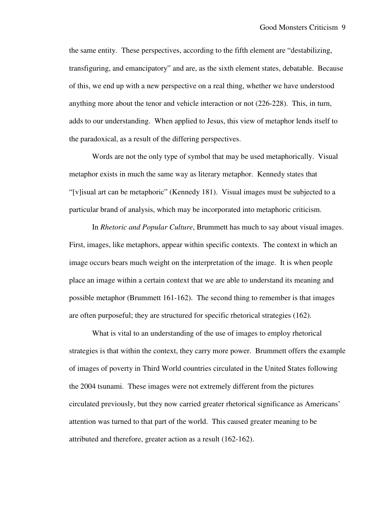the same entity. These perspectives, according to the fifth element are "destabilizing, transfiguring, and emancipatory" and are, as the sixth element states, debatable. Because of this, we end up with a new perspective on a real thing, whether we have understood anything more about the tenor and vehicle interaction or not (226-228). This, in turn, adds to our understanding. When applied to Jesus, this view of metaphor lends itself to the paradoxical, as a result of the differing perspectives.

 Words are not the only type of symbol that may be used metaphorically. Visual metaphor exists in much the same way as literary metaphor. Kennedy states that "[v]isual art can be metaphoric" (Kennedy 181). Visual images must be subjected to a particular brand of analysis, which may be incorporated into metaphoric criticism.

In *Rhetoric and Popular Culture*, Brummett has much to say about visual images. First, images, like metaphors, appear within specific contexts. The context in which an image occurs bears much weight on the interpretation of the image. It is when people place an image within a certain context that we are able to understand its meaning and possible metaphor (Brummett 161-162). The second thing to remember is that images are often purposeful; they are structured for specific rhetorical strategies (162).

 What is vital to an understanding of the use of images to employ rhetorical strategies is that within the context, they carry more power. Brummett offers the example of images of poverty in Third World countries circulated in the United States following the 2004 tsunami. These images were not extremely different from the pictures circulated previously, but they now carried greater rhetorical significance as Americans' attention was turned to that part of the world. This caused greater meaning to be attributed and therefore, greater action as a result (162-162).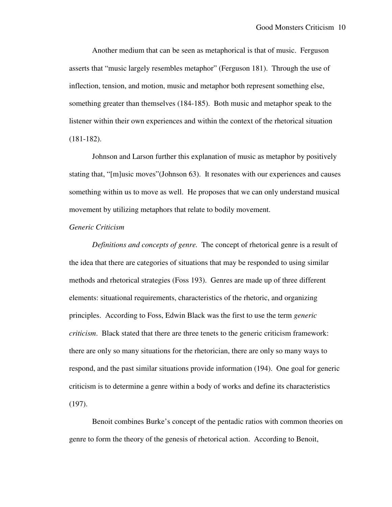Another medium that can be seen as metaphorical is that of music. Ferguson asserts that "music largely resembles metaphor" (Ferguson 181). Through the use of inflection, tension, and motion, music and metaphor both represent something else, something greater than themselves (184-185). Both music and metaphor speak to the listener within their own experiences and within the context of the rhetorical situation (181-182).

 Johnson and Larson further this explanation of music as metaphor by positively stating that, "[m]usic moves"(Johnson 63). It resonates with our experiences and causes something within us to move as well. He proposes that we can only understand musical movement by utilizing metaphors that relate to bodily movement.

### *Generic Criticism*

*Definitions and concepts of genre.* The concept of rhetorical genre is a result of the idea that there are categories of situations that may be responded to using similar methods and rhetorical strategies (Foss 193). Genres are made up of three different elements: situational requirements, characteristics of the rhetoric, and organizing principles. According to Foss, Edwin Black was the first to use the term *generic criticism*. Black stated that there are three tenets to the generic criticism framework: there are only so many situations for the rhetorician, there are only so many ways to respond, and the past similar situations provide information (194). One goal for generic criticism is to determine a genre within a body of works and define its characteristics (197).

Benoit combines Burke's concept of the pentadic ratios with common theories on genre to form the theory of the genesis of rhetorical action. According to Benoit,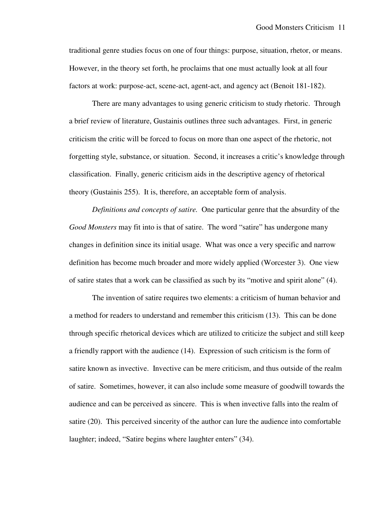traditional genre studies focus on one of four things: purpose, situation, rhetor, or means. However, in the theory set forth, he proclaims that one must actually look at all four factors at work: purpose-act, scene-act, agent-act, and agency act (Benoit 181-182).

There are many advantages to using generic criticism to study rhetoric. Through a brief review of literature, Gustainis outlines three such advantages. First, in generic criticism the critic will be forced to focus on more than one aspect of the rhetoric, not forgetting style, substance, or situation. Second, it increases a critic's knowledge through classification. Finally, generic criticism aids in the descriptive agency of rhetorical theory (Gustainis 255). It is, therefore, an acceptable form of analysis.

*Definitions and concepts of satire.* One particular genre that the absurdity of the *Good Monsters* may fit into is that of satire. The word "satire" has undergone many changes in definition since its initial usage. What was once a very specific and narrow definition has become much broader and more widely applied (Worcester 3). One view of satire states that a work can be classified as such by its "motive and spirit alone" (4).

The invention of satire requires two elements: a criticism of human behavior and a method for readers to understand and remember this criticism (13). This can be done through specific rhetorical devices which are utilized to criticize the subject and still keep a friendly rapport with the audience (14). Expression of such criticism is the form of satire known as invective. Invective can be mere criticism, and thus outside of the realm of satire. Sometimes, however, it can also include some measure of goodwill towards the audience and can be perceived as sincere. This is when invective falls into the realm of satire (20). This perceived sincerity of the author can lure the audience into comfortable laughter; indeed, "Satire begins where laughter enters" (34).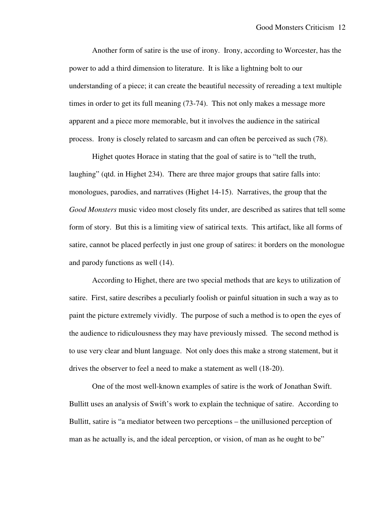Another form of satire is the use of irony. Irony, according to Worcester, has the power to add a third dimension to literature. It is like a lightning bolt to our understanding of a piece; it can create the beautiful necessity of rereading a text multiple times in order to get its full meaning (73-74). This not only makes a message more apparent and a piece more memorable, but it involves the audience in the satirical process. Irony is closely related to sarcasm and can often be perceived as such (78).

Highet quotes Horace in stating that the goal of satire is to "tell the truth, laughing" (qtd. in Highet 234). There are three major groups that satire falls into: monologues, parodies, and narratives (Highet 14-15). Narratives, the group that the *Good Monsters* music video most closely fits under, are described as satires that tell some form of story. But this is a limiting view of satirical texts. This artifact, like all forms of satire, cannot be placed perfectly in just one group of satires: it borders on the monologue and parody functions as well (14).

According to Highet, there are two special methods that are keys to utilization of satire. First, satire describes a peculiarly foolish or painful situation in such a way as to paint the picture extremely vividly. The purpose of such a method is to open the eyes of the audience to ridiculousness they may have previously missed. The second method is to use very clear and blunt language. Not only does this make a strong statement, but it drives the observer to feel a need to make a statement as well (18-20).

One of the most well-known examples of satire is the work of Jonathan Swift. Bullitt uses an analysis of Swift's work to explain the technique of satire. According to Bullitt, satire is "a mediator between two perceptions – the unillusioned perception of man as he actually is, and the ideal perception, or vision, of man as he ought to be"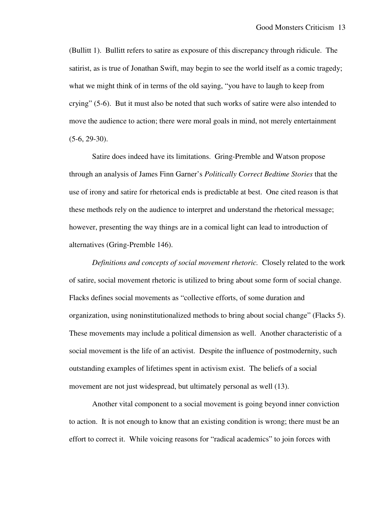(Bullitt 1). Bullitt refers to satire as exposure of this discrepancy through ridicule. The satirist, as is true of Jonathan Swift, may begin to see the world itself as a comic tragedy; what we might think of in terms of the old saying, "you have to laugh to keep from crying" (5-6). But it must also be noted that such works of satire were also intended to move the audience to action; there were moral goals in mind, not merely entertainment  $(5-6, 29-30)$ .

Satire does indeed have its limitations. Gring-Premble and Watson propose through an analysis of James Finn Garner's *Politically Correct Bedtime Stories* that the use of irony and satire for rhetorical ends is predictable at best. One cited reason is that these methods rely on the audience to interpret and understand the rhetorical message; however, presenting the way things are in a comical light can lead to introduction of alternatives (Gring-Premble 146).

*Definitions and concepts of social movement rhetoric.* Closely related to the work of satire, social movement rhetoric is utilized to bring about some form of social change. Flacks defines social movements as "collective efforts, of some duration and organization, using noninstitutionalized methods to bring about social change" (Flacks 5). These movements may include a political dimension as well. Another characteristic of a social movement is the life of an activist. Despite the influence of postmodernity, such outstanding examples of lifetimes spent in activism exist. The beliefs of a social movement are not just widespread, but ultimately personal as well (13).

 Another vital component to a social movement is going beyond inner conviction to action. It is not enough to know that an existing condition is wrong; there must be an effort to correct it. While voicing reasons for "radical academics" to join forces with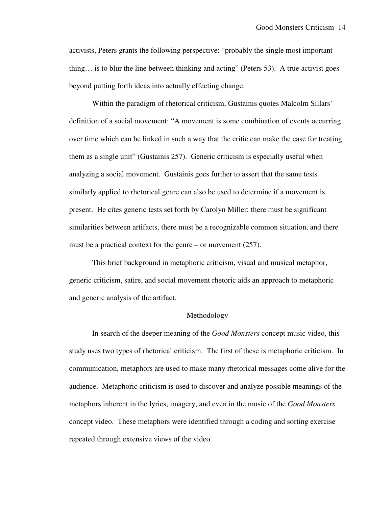activists, Peters grants the following perspective: "probably the single most important thing… is to blur the line between thinking and acting" (Peters 53). A true activist goes beyond putting forth ideas into actually effecting change.

Within the paradigm of rhetorical criticism, Gustainis quotes Malcolm Sillars' definition of a social movement: "A movement is some combination of events occurring over time which can be linked in such a way that the critic can make the case for treating them as a single unit" (Gustainis 257). Generic criticism is especially useful when analyzing a social movement. Gustainis goes further to assert that the same tests similarly applied to rhetorical genre can also be used to determine if a movement is present. He cites generic tests set forth by Carolyn Miller: there must be significant similarities between artifacts, there must be a recognizable common situation, and there must be a practical context for the genre – or movement (257).

This brief background in metaphoric criticism, visual and musical metaphor, generic criticism, satire, and social movement rhetoric aids an approach to metaphoric and generic analysis of the artifact.

### Methodology

 In search of the deeper meaning of the *Good Monsters* concept music video, this study uses two types of rhetorical criticism. The first of these is metaphoric criticism. In communication, metaphors are used to make many rhetorical messages come alive for the audience. Metaphoric criticism is used to discover and analyze possible meanings of the metaphors inherent in the lyrics, imagery, and even in the music of the *Good Monsters* concept video. These metaphors were identified through a coding and sorting exercise repeated through extensive views of the video.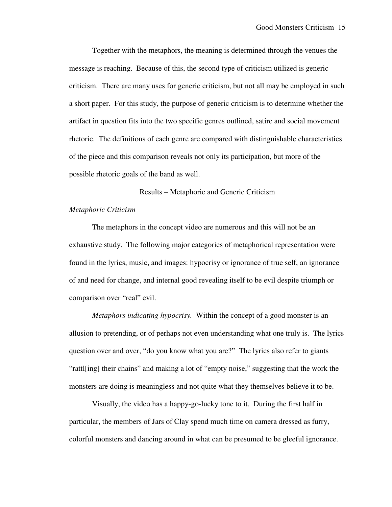Together with the metaphors, the meaning is determined through the venues the message is reaching. Because of this, the second type of criticism utilized is generic criticism. There are many uses for generic criticism, but not all may be employed in such a short paper. For this study, the purpose of generic criticism is to determine whether the artifact in question fits into the two specific genres outlined, satire and social movement rhetoric. The definitions of each genre are compared with distinguishable characteristics of the piece and this comparison reveals not only its participation, but more of the possible rhetoric goals of the band as well.

## Results – Metaphoric and Generic Criticism

## *Metaphoric Criticism*

 The metaphors in the concept video are numerous and this will not be an exhaustive study. The following major categories of metaphorical representation were found in the lyrics, music, and images: hypocrisy or ignorance of true self, an ignorance of and need for change, and internal good revealing itself to be evil despite triumph or comparison over "real" evil.

*Metaphors indicating hypocrisy.* Within the concept of a good monster is an allusion to pretending, or of perhaps not even understanding what one truly is. The lyrics question over and over, "do you know what you are?" The lyrics also refer to giants "rattl[ing] their chains" and making a lot of "empty noise," suggesting that the work the monsters are doing is meaningless and not quite what they themselves believe it to be.

 Visually, the video has a happy-go-lucky tone to it. During the first half in particular, the members of Jars of Clay spend much time on camera dressed as furry, colorful monsters and dancing around in what can be presumed to be gleeful ignorance.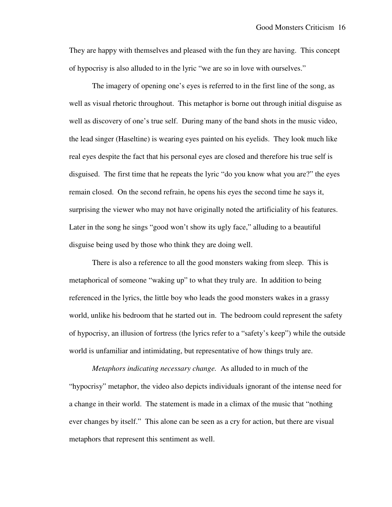They are happy with themselves and pleased with the fun they are having. This concept of hypocrisy is also alluded to in the lyric "we are so in love with ourselves."

 The imagery of opening one's eyes is referred to in the first line of the song, as well as visual rhetoric throughout. This metaphor is borne out through initial disguise as well as discovery of one's true self. During many of the band shots in the music video, the lead singer (Haseltine) is wearing eyes painted on his eyelids. They look much like real eyes despite the fact that his personal eyes are closed and therefore his true self is disguised. The first time that he repeats the lyric "do you know what you are?" the eyes remain closed. On the second refrain, he opens his eyes the second time he says it, surprising the viewer who may not have originally noted the artificiality of his features. Later in the song he sings "good won't show its ugly face," alluding to a beautiful disguise being used by those who think they are doing well.

 There is also a reference to all the good monsters waking from sleep. This is metaphorical of someone "waking up" to what they truly are. In addition to being referenced in the lyrics, the little boy who leads the good monsters wakes in a grassy world, unlike his bedroom that he started out in. The bedroom could represent the safety of hypocrisy, an illusion of fortress (the lyrics refer to a "safety's keep") while the outside world is unfamiliar and intimidating, but representative of how things truly are.

*Metaphors indicating necessary change.* As alluded to in much of the "hypocrisy" metaphor, the video also depicts individuals ignorant of the intense need for a change in their world. The statement is made in a climax of the music that "nothing ever changes by itself." This alone can be seen as a cry for action, but there are visual metaphors that represent this sentiment as well.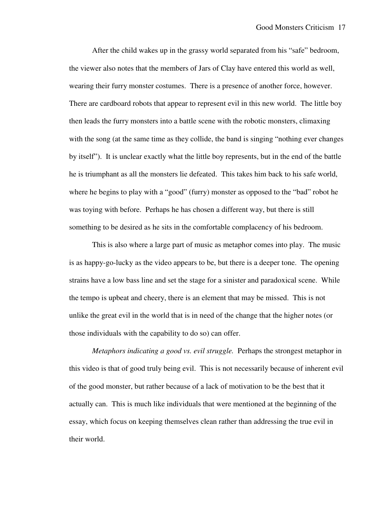After the child wakes up in the grassy world separated from his "safe" bedroom, the viewer also notes that the members of Jars of Clay have entered this world as well, wearing their furry monster costumes. There is a presence of another force, however. There are cardboard robots that appear to represent evil in this new world. The little boy then leads the furry monsters into a battle scene with the robotic monsters, climaxing with the song (at the same time as they collide, the band is singing "nothing ever changes by itself"). It is unclear exactly what the little boy represents, but in the end of the battle he is triumphant as all the monsters lie defeated. This takes him back to his safe world, where he begins to play with a "good" (furry) monster as opposed to the "bad" robot he was toying with before. Perhaps he has chosen a different way, but there is still something to be desired as he sits in the comfortable complacency of his bedroom.

 This is also where a large part of music as metaphor comes into play. The music is as happy-go-lucky as the video appears to be, but there is a deeper tone. The opening strains have a low bass line and set the stage for a sinister and paradoxical scene. While the tempo is upbeat and cheery, there is an element that may be missed. This is not unlike the great evil in the world that is in need of the change that the higher notes (or those individuals with the capability to do so) can offer.

*Metaphors indicating a good vs. evil struggle.* Perhaps the strongest metaphor in this video is that of good truly being evil. This is not necessarily because of inherent evil of the good monster, but rather because of a lack of motivation to be the best that it actually can. This is much like individuals that were mentioned at the beginning of the essay, which focus on keeping themselves clean rather than addressing the true evil in their world.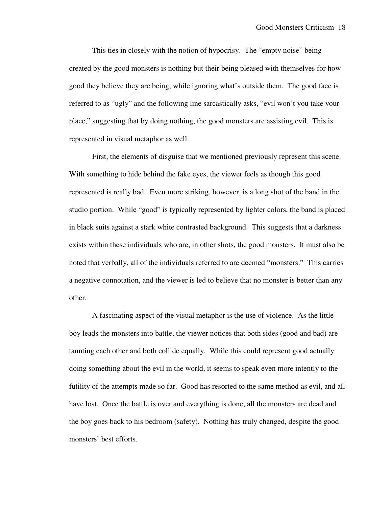This ties in closely with the notion of hypocrisy. The "empty noise" being created by the good monsters is nothing but their being pleased with themselves for how good they believe they are being, while ignoring what's outside them. The good face is referred to as "ugly" and the following line sarcastically asks, "evil won't you take your place," suggesting that by doing nothing, the good monsters are assisting evil. This is represented in visual metaphor as well.

 First, the elements of disguise that we mentioned previously represent this scene. With something to hide behind the fake eyes, the viewer feels as though this good represented is really bad. Even more striking, however, is a long shot of the band in the studio portion. While "good" is typically represented by lighter colors, the band is placed in black suits against a stark white contrasted background. This suggests that a darkness exists within these individuals who are, in other shots, the good monsters. It must also be noted that verbally, all of the individuals referred to are deemed "monsters." This carries a negative connotation, and the viewer is led to believe that no monster is better than any other.

 A fascinating aspect of the visual metaphor is the use of violence. As the little boy leads the monsters into battle, the viewer notices that both sides (good and bad) are taunting each other and both collide equally. While this could represent good actually doing something about the evil in the world, it seems to speak even more intently to the futility of the attempts made so far. Good has resorted to the same method as evil, and all have lost. Once the battle is over and everything is done, all the monsters are dead and the boy goes back to his bedroom (safety). Nothing has truly changed, despite the good monsters' best efforts.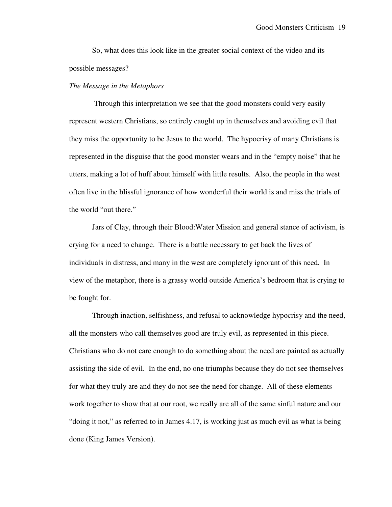So, what does this look like in the greater social context of the video and its possible messages?

### *The Message in the Metaphors*

 Through this interpretation we see that the good monsters could very easily represent western Christians, so entirely caught up in themselves and avoiding evil that they miss the opportunity to be Jesus to the world. The hypocrisy of many Christians is represented in the disguise that the good monster wears and in the "empty noise" that he utters, making a lot of huff about himself with little results. Also, the people in the west often live in the blissful ignorance of how wonderful their world is and miss the trials of the world "out there."

 Jars of Clay, through their Blood:Water Mission and general stance of activism, is crying for a need to change. There is a battle necessary to get back the lives of individuals in distress, and many in the west are completely ignorant of this need. In view of the metaphor, there is a grassy world outside America's bedroom that is crying to be fought for.

 Through inaction, selfishness, and refusal to acknowledge hypocrisy and the need, all the monsters who call themselves good are truly evil, as represented in this piece. Christians who do not care enough to do something about the need are painted as actually assisting the side of evil. In the end, no one triumphs because they do not see themselves for what they truly are and they do not see the need for change. All of these elements work together to show that at our root, we really are all of the same sinful nature and our "doing it not," as referred to in James 4.17, is working just as much evil as what is being done (King James Version).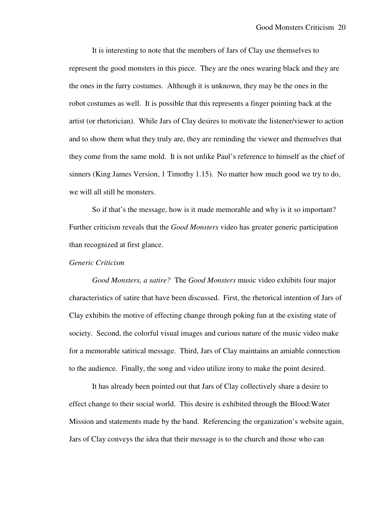It is interesting to note that the members of Jars of Clay use themselves to represent the good monsters in this piece. They are the ones wearing black and they are the ones in the furry costumes. Although it is unknown, they may be the ones in the robot costumes as well. It is possible that this represents a finger pointing back at the artist (or rhetorician). While Jars of Clay desires to motivate the listener/viewer to action and to show them what they truly are, they are reminding the viewer and themselves that they come from the same mold. It is not unlike Paul's reference to himself as the chief of sinners (King James Version, 1 Timothy 1.15). No matter how much good we try to do, we will all still be monsters.

 So if that's the message, how is it made memorable and why is it so important? Further criticism reveals that the *Good Monsters* video has greater generic participation than recognized at first glance.

### *Generic Criticism*

*Good Monsters, a satire?* The *Good Monsters* music video exhibits four major characteristics of satire that have been discussed. First, the rhetorical intention of Jars of Clay exhibits the motive of effecting change through poking fun at the existing state of society. Second, the colorful visual images and curious nature of the music video make for a memorable satirical message. Third, Jars of Clay maintains an amiable connection to the audience. Finally, the song and video utilize irony to make the point desired.

 It has already been pointed out that Jars of Clay collectively share a desire to effect change to their social world. This desire is exhibited through the Blood:Water Mission and statements made by the band. Referencing the organization's website again, Jars of Clay conveys the idea that their message is to the church and those who can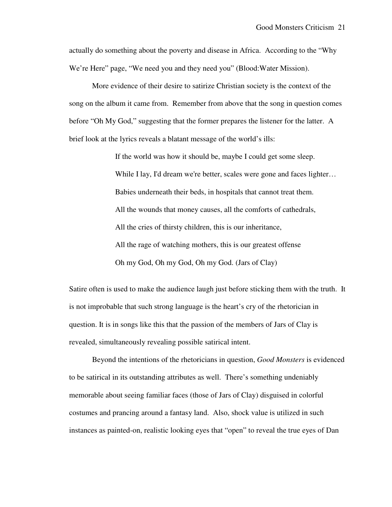actually do something about the poverty and disease in Africa. According to the "Why We're Here" page, "We need you and they need you" (Blood:Water Mission).

 More evidence of their desire to satirize Christian society is the context of the song on the album it came from. Remember from above that the song in question comes before "Oh My God," suggesting that the former prepares the listener for the latter. A brief look at the lyrics reveals a blatant message of the world's ills:

> If the world was how it should be, maybe I could get some sleep. While I lay, I'd dream we're better, scales were gone and faces lighter... Babies underneath their beds, in hospitals that cannot treat them. All the wounds that money causes, all the comforts of cathedrals, All the cries of thirsty children, this is our inheritance, All the rage of watching mothers, this is our greatest offense Oh my God, Oh my God, Oh my God. (Jars of Clay)

Satire often is used to make the audience laugh just before sticking them with the truth. It is not improbable that such strong language is the heart's cry of the rhetorician in question. It is in songs like this that the passion of the members of Jars of Clay is revealed, simultaneously revealing possible satirical intent.

 Beyond the intentions of the rhetoricians in question, *Good Monsters* is evidenced to be satirical in its outstanding attributes as well. There's something undeniably memorable about seeing familiar faces (those of Jars of Clay) disguised in colorful costumes and prancing around a fantasy land. Also, shock value is utilized in such instances as painted-on, realistic looking eyes that "open" to reveal the true eyes of Dan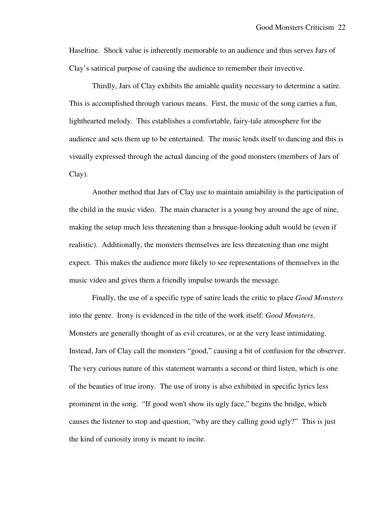Haseltine. Shock value is inherently memorable to an audience and thus serves Jars of Clay's satirical purpose of causing the audience to remember their invective.

 Thirdly, Jars of Clay exhibits the amiable quality necessary to determine a satire. This is accomplished through various means. First, the music of the song carries a fun, lighthearted melody. This establishes a comfortable, fairy-tale atmosphere for the audience and sets them up to be entertained. The music lends itself to dancing and this is visually expressed through the actual dancing of the good monsters (members of Jars of Clay).

 Another method that Jars of Clay use to maintain amiability is the participation of the child in the music video. The main character is a young boy around the age of nine, making the setup much less threatening than a brusque-looking adult would be (even if realistic). Additionally, the monsters themselves are less threatening than one might expect. This makes the audience more likely to see representations of themselves in the music video and gives them a friendly impulse towards the message.

 Finally, the use of a specific type of satire leads the critic to place *Good Monsters* into the genre. Irony is evidenced in the title of the work itself: *Good Monsters*. Monsters are generally thought of as evil creatures, or at the very least intimidating. Instead, Jars of Clay call the monsters "good," causing a bit of confusion for the observer. The very curious nature of this statement warrants a second or third listen, which is one of the beauties of true irony. The use of irony is also exhibited in specific lyrics less prominent in the song. "If good won't show its ugly face," begins the bridge, which causes the listener to stop and question, "why are they calling good ugly?" This is just the kind of curiosity irony is meant to incite.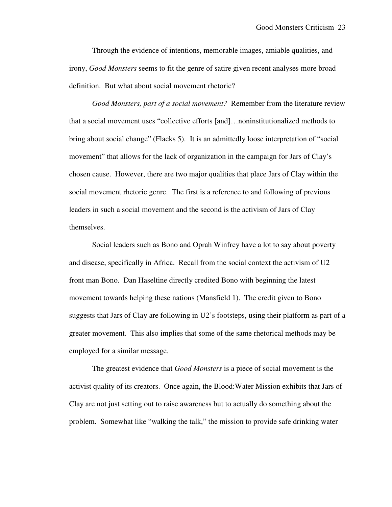Through the evidence of intentions, memorable images, amiable qualities, and irony, *Good Monsters* seems to fit the genre of satire given recent analyses more broad definition. But what about social movement rhetoric?

*Good Monsters, part of a social movement?* Remember from the literature review that a social movement uses "collective efforts [and]…noninstitutionalized methods to bring about social change" (Flacks 5). It is an admittedly loose interpretation of "social movement" that allows for the lack of organization in the campaign for Jars of Clay's chosen cause. However, there are two major qualities that place Jars of Clay within the social movement rhetoric genre. The first is a reference to and following of previous leaders in such a social movement and the second is the activism of Jars of Clay themselves.

Social leaders such as Bono and Oprah Winfrey have a lot to say about poverty and disease, specifically in Africa. Recall from the social context the activism of U2 front man Bono. Dan Haseltine directly credited Bono with beginning the latest movement towards helping these nations (Mansfield 1). The credit given to Bono suggests that Jars of Clay are following in U2's footsteps, using their platform as part of a greater movement. This also implies that some of the same rhetorical methods may be employed for a similar message.

The greatest evidence that *Good Monsters* is a piece of social movement is the activist quality of its creators. Once again, the Blood:Water Mission exhibits that Jars of Clay are not just setting out to raise awareness but to actually do something about the problem. Somewhat like "walking the talk," the mission to provide safe drinking water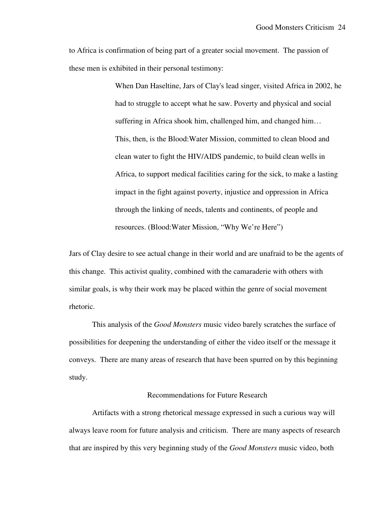to Africa is confirmation of being part of a greater social movement. The passion of these men is exhibited in their personal testimony:

> When Dan Haseltine, Jars of Clay's lead singer, visited Africa in 2002, he had to struggle to accept what he saw. Poverty and physical and social suffering in Africa shook him, challenged him, and changed him… This, then, is the Blood:Water Mission, committed to clean blood and clean water to fight the HIV/AIDS pandemic, to build clean wells in Africa, to support medical facilities caring for the sick, to make a lasting impact in the fight against poverty, injustice and oppression in Africa through the linking of needs, talents and continents, of people and resources. (Blood:Water Mission, "Why We're Here")

Jars of Clay desire to see actual change in their world and are unafraid to be the agents of this change. This activist quality, combined with the camaraderie with others with similar goals, is why their work may be placed within the genre of social movement rhetoric.

 This analysis of the *Good Monsters* music video barely scratches the surface of possibilities for deepening the understanding of either the video itself or the message it conveys. There are many areas of research that have been spurred on by this beginning study.

## Recommendations for Future Research

 Artifacts with a strong rhetorical message expressed in such a curious way will always leave room for future analysis and criticism. There are many aspects of research that are inspired by this very beginning study of the *Good Monsters* music video, both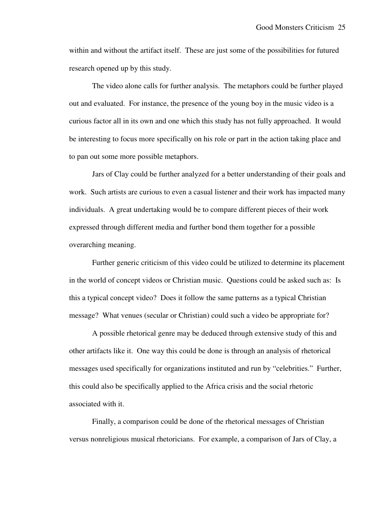within and without the artifact itself. These are just some of the possibilities for futured research opened up by this study.

 The video alone calls for further analysis. The metaphors could be further played out and evaluated. For instance, the presence of the young boy in the music video is a curious factor all in its own and one which this study has not fully approached. It would be interesting to focus more specifically on his role or part in the action taking place and to pan out some more possible metaphors.

 Jars of Clay could be further analyzed for a better understanding of their goals and work. Such artists are curious to even a casual listener and their work has impacted many individuals. A great undertaking would be to compare different pieces of their work expressed through different media and further bond them together for a possible overarching meaning.

Further generic criticism of this video could be utilized to determine its placement in the world of concept videos or Christian music. Questions could be asked such as: Is this a typical concept video? Does it follow the same patterns as a typical Christian message? What venues (secular or Christian) could such a video be appropriate for?

A possible rhetorical genre may be deduced through extensive study of this and other artifacts like it. One way this could be done is through an analysis of rhetorical messages used specifically for organizations instituted and run by "celebrities." Further, this could also be specifically applied to the Africa crisis and the social rhetoric associated with it.

Finally, a comparison could be done of the rhetorical messages of Christian versus nonreligious musical rhetoricians. For example, a comparison of Jars of Clay, a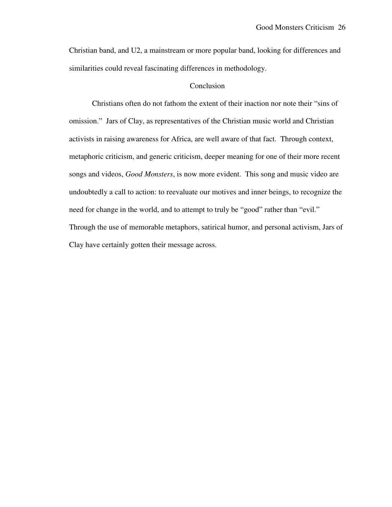Christian band, and U2, a mainstream or more popular band, looking for differences and similarities could reveal fascinating differences in methodology.

## Conclusion

 Christians often do not fathom the extent of their inaction nor note their "sins of omission." Jars of Clay, as representatives of the Christian music world and Christian activists in raising awareness for Africa, are well aware of that fact. Through context, metaphoric criticism, and generic criticism, deeper meaning for one of their more recent songs and videos, *Good Monsters*, is now more evident. This song and music video are undoubtedly a call to action: to reevaluate our motives and inner beings, to recognize the need for change in the world, and to attempt to truly be "good" rather than "evil." Through the use of memorable metaphors, satirical humor, and personal activism, Jars of Clay have certainly gotten their message across.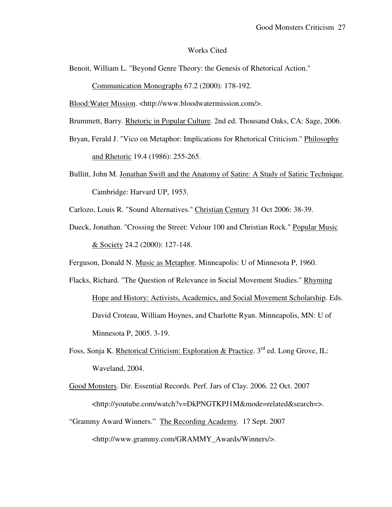#### Works Cited

Benoit, William L. "Beyond Genre Theory: the Genesis of Rhetorical Action."

Communication Monographs 67.2 (2000): 178-192.

Blood:Water Mission. <http://www.bloodwatermission.com/>.

Brummett, Barry. Rhetoric in Popular Culture. 2nd ed. Thousand Oaks, CA: Sage, 2006.

Bryan, Ferald J. "Vico on Metaphor: Implications for Rhetorical Criticism." Philosophy and Rhetoric 19.4 (1986): 255-265.

Bullitt, John M. Jonathan Swift and the Anatomy of Satire: A Study of Satiric Technique. Cambridge: Harvard UP, 1953.

Carlozo, Louis R. "Sound Alternatives." Christian Century 31 Oct 2006: 38-39.

Dueck, Jonathan. "Crossing the Street: Velour 100 and Christian Rock." Popular Music & Society 24.2 (2000): 127-148.

Ferguson, Donald N. Music as Metaphor. Minneapolis: U of Minnesota P, 1960.

- Flacks, Richard. "The Question of Relevance in Social Movement Studies." Rhyming Hope and History: Activists, Academics, and Social Movement Scholarship. Eds. David Croteau, William Hoynes, and Charlotte Ryan. Minneapolis, MN: U of Minnesota P, 2005. 3-19.
- Foss, Sonja K. Rhetorical Criticism: Exploration & Practice.  $3<sup>rd</sup>$  ed. Long Grove, IL: Waveland, 2004.

Good Monsters. Dir. Essential Records. Perf. Jars of Clay. 2006. 22 Oct. 2007 <http://youtube.com/watch?v=DkPNGTKPJ1M&mode=related&search=>.

"Grammy Award Winners." The Recording Academy. 17 Sept. 2007 <http://www.grammy.com/GRAMMY\_Awards/Winners/>.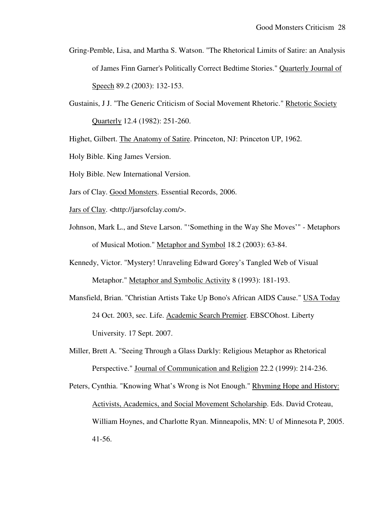- Gring-Pemble, Lisa, and Martha S. Watson. "The Rhetorical Limits of Satire: an Analysis of James Finn Garner's Politically Correct Bedtime Stories." Quarterly Journal of Speech 89.2 (2003): 132-153.
- Gustainis, J J. "The Generic Criticism of Social Movement Rhetoric." Rhetoric Society Quarterly 12.4 (1982): 251-260.
- Highet, Gilbert. The Anatomy of Satire. Princeton, NJ: Princeton UP, 1962.
- Holy Bible. King James Version.
- Holy Bible. New International Version.
- Jars of Clay. Good Monsters. Essential Records, 2006.
- Jars of Clay. <http://jarsofclay.com/>.
- Johnson, Mark L., and Steve Larson. "'Something in the Way She Moves'" Metaphors of Musical Motion." Metaphor and Symbol 18.2 (2003): 63-84.
- Kennedy, Victor. "Mystery! Unraveling Edward Gorey's Tangled Web of Visual Metaphor." Metaphor and Symbolic Activity 8 (1993): 181-193.
- Mansfield, Brian. "Christian Artists Take Up Bono's African AIDS Cause." USA Today 24 Oct. 2003, sec. Life. Academic Search Premier. EBSCOhost. Liberty University. 17 Sept. 2007.
- Miller, Brett A. "Seeing Through a Glass Darkly: Religious Metaphor as Rhetorical Perspective." Journal of Communication and Religion 22.2 (1999): 214-236.
- Peters, Cynthia. "Knowing What's Wrong is Not Enough." Rhyming Hope and History: Activists, Academics, and Social Movement Scholarship. Eds. David Croteau, William Hoynes, and Charlotte Ryan. Minneapolis, MN: U of Minnesota P, 2005. 41-56.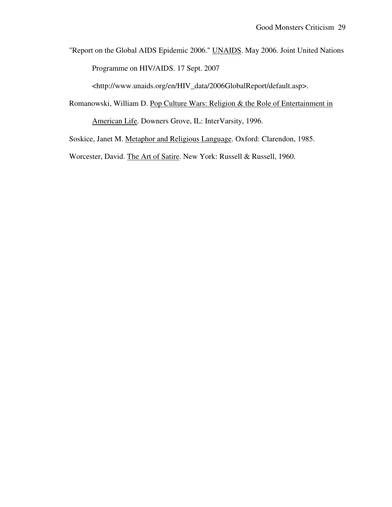"Report on the Global AIDS Epidemic 2006." **UNAIDS**. May 2006. Joint United Nations Programme on HIV/AIDS. 17 Sept. 2007

<http://www.unaids.org/en/HIV\_data/2006GlobalReport/default.asp>.

Romanowski, William D. Pop Culture Wars: Religion & the Role of Entertainment in

American Life. Downers Grove, IL: InterVarsity, 1996.

Soskice, Janet M. Metaphor and Religious Language. Oxford: Clarendon, 1985.

Worcester, David. The Art of Satire. New York: Russell & Russell, 1960.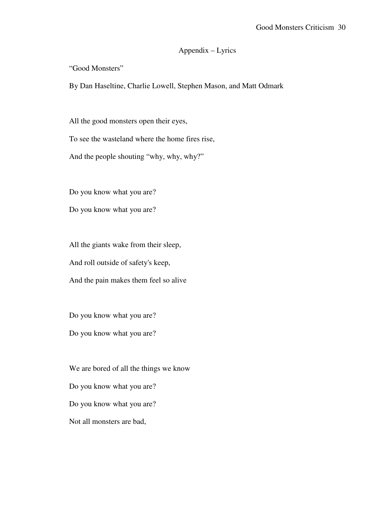# Appendix – Lyrics

"Good Monsters"

By Dan Haseltine, Charlie Lowell, Stephen Mason, and Matt Odmark

All the good monsters open their eyes,

To see the wasteland where the home fires rise,

And the people shouting "why, why, why?"

Do you know what you are?

Do you know what you are?

All the giants wake from their sleep,

And roll outside of safety's keep,

And the pain makes them feel so alive

Do you know what you are?

Do you know what you are?

We are bored of all the things we know Do you know what you are? Do you know what you are? Not all monsters are bad,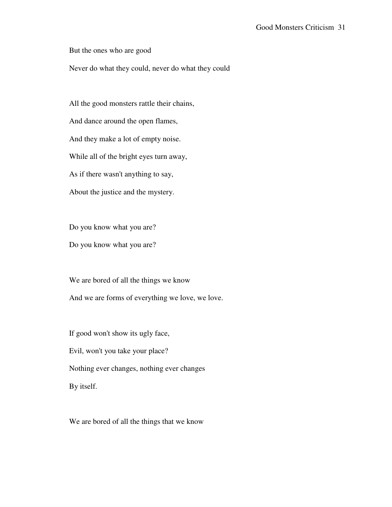But the ones who are good

Never do what they could, never do what they could

All the good monsters rattle their chains, And dance around the open flames, And they make a lot of empty noise. While all of the bright eyes turn away, As if there wasn't anything to say, About the justice and the mystery.

Do you know what you are?

Do you know what you are?

We are bored of all the things we know And we are forms of everything we love, we love.

If good won't show its ugly face, Evil, won't you take your place? Nothing ever changes, nothing ever changes By itself.

We are bored of all the things that we know